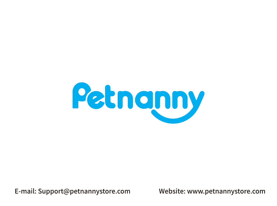

E-mail: Support@petnannystore.com

Website: www.petnannystore.com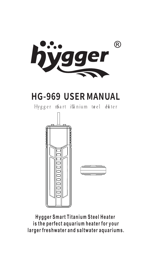

# **HG-969 USER MANUAL**

Hygger mSart itTanium tsel dater



**Hygger Smart Titanium Steel Heater is the perfect aquarium heater for your larger freshwater and saltwater aquariums.**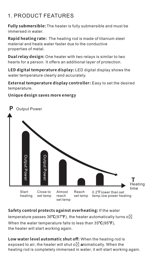# 1. PRODUCT FEATURES

**Fully submersible:** The heater is fully submersible and must be immersed in water.

**Rapid heating rate:** The heating rod is made of titanium steel material and heats water faster due to the conductive properties of metal.

**Dual relay design:** One heater with two relays is similar to two hearts for a person. It offers an additional layer of protection.

**LED digital temperature display:** LED digital display shows the water temperature clearly and accurately.

**External temperature display controller:** Easy to set the desired temperature.

#### **Unique design saves more energy**



**Safety control protects against overheating:** If the water temperature passes 36**℃**(97**℉**), the heater automatically turns o�. When the water temperature falls to less than 35**℃**(95**℉**), the heater will start working again.

**Low water level automatic shut off:** When the heating rod is exposed to air, the heater will shut o $\boxtimes$  automatically. When the heating rod is completely immersed in water, it will start working again.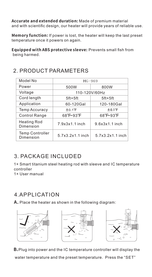**Accurate and extended duration:** Made of premium material and with scientific design, our heater will provide years of reliable use.

**Memory function:** If power is lost, the heater will keep the last preset temperature once it powers on again.

**Equipped with ABS protective sleeve:** Prevents small fish from being harmed.

# 2. PRODUCT PARAMETERS

| Model No                               | $HG - 969$                 |                            |
|----------------------------------------|----------------------------|----------------------------|
| Power                                  | 500W                       | 800W                       |
| Voltage                                | 110-120V/60Hz              |                            |
| Cord length                            | $5ft+5ft$                  | $5ft+5ft$                  |
| Application                            | 60-120Gal                  | 120-180Gal                 |
| <b>Temp Accuracy</b>                   | ±0.1°F                     | $±0.1$ °F                  |
| <b>Control Range</b>                   | $68^\circ$ F~93 $^\circ$ F | $68^\circ$ F~93 $^\circ$ F |
| <b>Heating Rod</b><br><b>Dimension</b> | 7.9x3x1.1 inch             | 9.6x3x1.1 inch             |
| <b>Temp Controller</b><br>Dimension    | 5.7x3.2x1.1 inch           | 5.7x3.2x1.1 inch           |

# 3. PACKAGE INCLUDED

1× Smart titanium steel heating rod with sleeve and IC temperature controller

1× User manual

### 4.APPLICATION

**A.** Place the heater as shown in the following diagram:







**B.**Plug into power and the IC temperature controller will display the water temperature and the preset temperature. Press the "SET"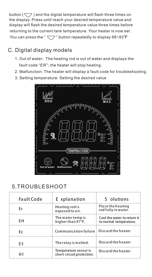returning to the current tank temperature. Your heater is now set. You can press the "  $\sqrt{ }$  " button repeatedly to display 68~93°F button  $(\nabla)$  and the digital temperature will flash three times on the display. Press until reach your desired temperature value and display will flash the desired temperature value three times before

# C. Digital display models

- 1. Out of water: The heating rod is out of water and displays the fault code "ER"; the heater will stop heating.
- . 2. Malfunction: The heater will display a fault code for troubleshooting
- 3. Setting temperature: Setting the desired value



# 5.TROUBLESHOOT

| <b>Fault Code</b> | E xplanation                                       | S olutions                                            |
|-------------------|----------------------------------------------------|-------------------------------------------------------|
| Er                | Heating rod is<br>exposed to a ir.                 | Place the heating<br>rod fully in water.              |
| EΗ                | The water temp is<br>higher than 97°F.             | Cool the water to return it<br>to normal temperature. |
| Ec                | <b>Communication failure</b>                       | Discard the heater                                    |
| E3                | The relay is melted.                               | Discard the heater                                    |
|                   | Temperature sensor is<br>short-circuit protection. | Discard the heater                                    |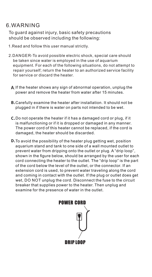### 6.WARNING

To guard against injury, basic safety precautions should be observed including the following:

- 1.Read and follow this user manual strictly.
- 2.DANGER-To avoid possible electric shock, special care should be taken since water is employed in the use of aquarium equipment. For each of the following situations, do not attempt to repair yourself; return the heater to an authorized service facility for service or discard the heater.
	- **A** If the heater shows any sign of abnormal operation, unplug the power and remove the heater from water after 15 minutes.
	- Carefully examine the heater after installation. It should not be **B.** plugged in if there is water on parts not intended to be wet.
	- **C.** Do not operate the heater if it has a damaged cord or plug, if it is malfunctioning or if it is dropped or damaged in any manner. The power cord of this heater cannot be replaced, if the cord is damaged, the heater should be discarded.
	- **D.** To avoid the possibility of the heater plug getting wet, position aquarium stand and tank to one side of a wall mounted outlet to prevent water from dripping onto the outlet or plug. A "drip loop", shown in the figure below, should be arranged by the user for each cord connecting the heater to the outlet. The "drip loop" is the part of the cord below the level of the outlet, or the connector. If an extension cord is used, to prevent water traveling along the cord and coming in contact with the outlet. If the plug or outlet does get wet, DO NOT unplug the cord. Disconnect the fuse to the circuit breaker that supplies power to the heater. Then unplug and examine for the presence of water in the outlet.

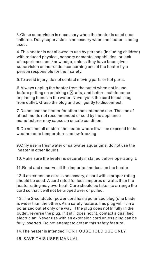3.Close supervision is necessary when the heater is used near children. Daily supervision is necessary when the heater is being used.

4.This heater is not allowed to use by persons (including children) with reduced physical, sensory or mental capabilities, or lack of experience and knowledge, unless they have been given supervision or instruction concerning use of the heater by a person responsible for their safety.

5.To avoid injury, do not contact moving parts or hot parts.

6.Always unplug the heater from the outlet when not in use, before putting on or taking o $\boxtimes$  parts, and before maintenance or placing hands in the water. Never yank the cord to pull plug from outlet. Grasp the plug and pull gently to disconnect.

7.Do not use the heater for other than intended use. The use of attachments not recommended or sold by the appliance manufacturer may cause an unsafe condition.

8.Do not install or store the heater where it will be exposed to the weather or to temperatures below freezing.

9.Only use in freshwater or saltwater aquariums; do not use the heater in other liquids.

10.Make sure the heater is securely installed before operating it.

11.Read and observe all the important notices on the heater.

12.If an extension cord is necessary, a cord with a proper rating should be used. A cord rated for less amperes or watts than the heater rating may overheat. Care should be taken to arrange the cord so that it will not be tripped over or pulled.

13.The 2-conductor power cord has a polarized plug (one blade is wider than the other). As a safety feature, this plug will fit in a polarized outlet only one way. If the plug does not fit fully in the outlet, reverse the plug. If it still does not fit, contact a qualified electrician. Never use with an extension cord unless plug can be fully inserted. Do not attempt to defeat this safety feature.

14.The heater is intended FOR HOUSEHOLD USE ONLY.

15. SAVE THIS USER MANUAL.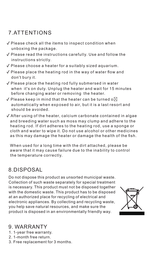# 7.ATTENTIONS

- **✓** Please check all the items to inspect condition when unboxing the package.
- **✓** Please read the instructions carefully. Use and follow the instructions strictly.
- **✓** Please choose a heater for a suitably sized aquarium.
- **✓** Please place the heating rod in the way of water flow and don't bury it.
- **✓** Please place the heating rod fully submersed in water when it's on duty. Unplug the heater and wait for 15 minutes before changing water or removing the heater.
- $\sqrt{\ }$  Please keep in mind that the heater can be turned o $\bowtie$  automatically when exp osed to air, but it is a last resort and should be avoided.
- **✓** After using of the heater, calcium carbonate contained in algae and breeding water such as moss may clump and adhere to the heating rod. If dirt adheres to the heating rod, use a sponge or cloth and water to wipe it. Do not use alcohol or other medicines as this may damage the heater or damage the health of the fish.

 When used for a long time with the dirt attached, please be aware that it may cause failure due to the ina bility to control the temperature correctly.

# 8.DISPOSAL

Do not dispose this product as unsorted municipal waste. Collection of such waste separately for special treatment is necessary. This product must not be disposed together with the domestic waste. This product has to be disposed at an authorized place for recycling of electrical and electronic appliances. By collecting and recycling waste, you help save natural resources, and make sure the product is disposed in an environmentally friendly way.



### 9. WARRANTY

- 1. 1-year free warranty.
- 2. 1-month free return.
- 3. Free replacement for 3 months.